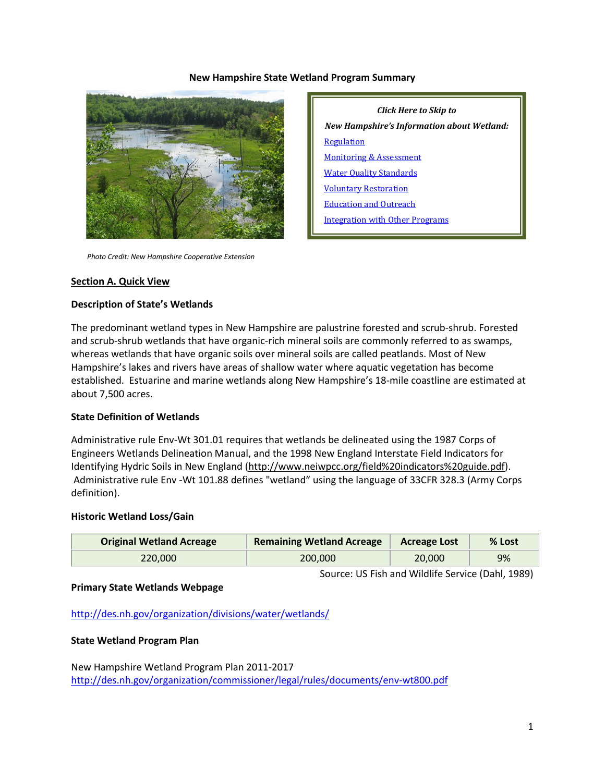#### **New Hampshire State Wetland Program Summary**



*Click Here to Skip to New Hampshire's Information about Wetland:* [Regulation](#page-2-0) [Monitoring & Assessment](#page-7-0) [Water Quality Standards](#page-9-0) [Voluntary Restoration](#page-10-0) [Education and Outreach](#page-11-0) [Integration with Other Programs](#page-12-0)

 *Photo Credit: New Hampshire Cooperative Extension*

#### **Section A. Quick View**

#### **Description of State's Wetlands**

The predominant wetland types in New Hampshire are palustrine forested and scrub-shrub. Forested and scrub-shrub wetlands that have organic-rich mineral soils are commonly referred to as swamps, whereas wetlands that have organic soils over mineral soils are called peatlands. Most of New Hampshire's lakes and rivers have areas of shallow water where aquatic vegetation has become established. Estuarine and marine wetlands along New Hampshire's 18-mile coastline are estimated at about 7,500 acres.

#### **State Definition of Wetlands**

Administrative rule Env-Wt 301.01 requires that wetlands be delineated using the 1987 Corps of Engineers Wetlands Delineation Manual, and the 1998 New England Interstate Field Indicators for Identifying Hydric Soils in New England [\(http://www.neiwpcc.org/field%20indicators%20guide.pdf\)](http://www.neiwpcc.org/field%20indicators%20guide.pdf). Administrative rule Env -Wt 101.88 defines "wetland" using the language of 33CFR 328.3 (Army Corps definition).

#### **Historic Wetland Loss/Gain**

| <b>Original Wetland Acreage</b> | <b>Remaining Wetland Acreage</b> | <b>Acreage Lost</b> | % Lost |
|---------------------------------|----------------------------------|---------------------|--------|
| 220.000                         | 200,000                          | 20,000              | 9%     |

Source: US Fish and Wildlife Service (Dahl, 1989)

**Primary State Wetlands Webpage**

<http://des.nh.gov/organization/divisions/water/wetlands/>

#### **State Wetland Program Plan**

New Hampshire Wetland Program Plan 2011-2017 <http://des.nh.gov/organization/commissioner/legal/rules/documents/env-wt800.pdf>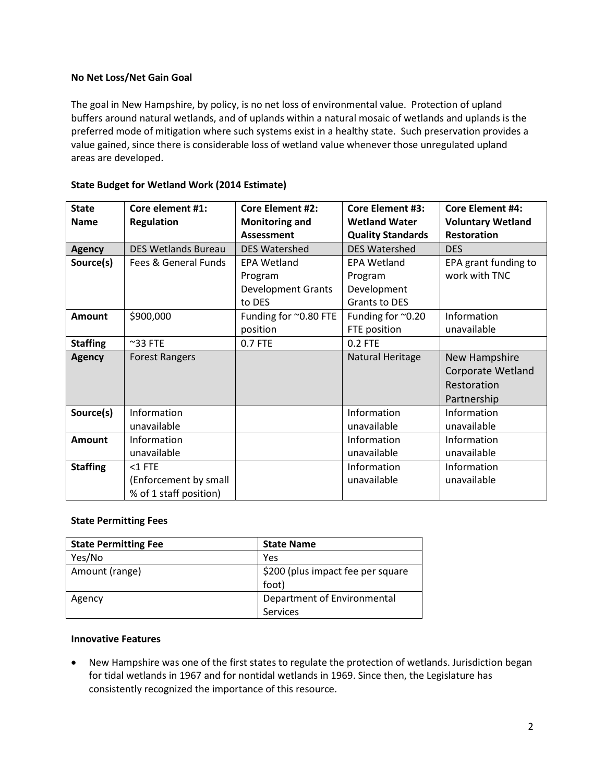### **No Net Loss/Net Gain Goal**

The goal in New Hampshire, by policy, is no net loss of environmental value. Protection of upland buffers around natural wetlands, and of uplands within a natural mosaic of wetlands and uplands is the preferred mode of mitigation where such systems exist in a healthy state. Such preservation provides a value gained, since there is considerable loss of wetland value whenever those unregulated upland areas are developed.

| <b>State</b>    | Core element #1:           | <b>Core Element #2:</b>   | <b>Core Element #3:</b>  | <b>Core Element #4:</b>  |
|-----------------|----------------------------|---------------------------|--------------------------|--------------------------|
| <b>Name</b>     | <b>Regulation</b>          | <b>Monitoring and</b>     | <b>Wetland Water</b>     | <b>Voluntary Wetland</b> |
|                 |                            | <b>Assessment</b>         | <b>Quality Standards</b> | <b>Restoration</b>       |
| <b>Agency</b>   | <b>DES Wetlands Bureau</b> | <b>DES Watershed</b>      | <b>DES Watershed</b>     | <b>DES</b>               |
| Source(s)       | Fees & General Funds       | <b>EPA Wetland</b>        | <b>EPA Wetland</b>       | EPA grant funding to     |
|                 |                            | Program                   | Program                  | work with TNC            |
|                 |                            | <b>Development Grants</b> | Development              |                          |
|                 |                            | to DES                    | <b>Grants to DES</b>     |                          |
| <b>Amount</b>   | \$900,000                  | Funding for ~0.80 FTE     | Funding for ~0.20        | Information              |
|                 |                            | position                  | FTE position             | unavailable              |
| <b>Staffing</b> | $~^{\sim}$ 33 FTE          | 0.7 FTE                   | 0.2 FTE                  |                          |
| <b>Agency</b>   | <b>Forest Rangers</b>      |                           | Natural Heritage         | New Hampshire            |
|                 |                            |                           |                          | <b>Corporate Wetland</b> |
|                 |                            |                           |                          | Restoration              |
|                 |                            |                           |                          | Partnership              |
| Source(s)       | Information                |                           | Information              | Information              |
|                 | unavailable                |                           | unavailable              | unavailable              |
| <b>Amount</b>   | Information                |                           | Information              | Information              |
|                 | unavailable                |                           | unavailable              | unavailable              |
| <b>Staffing</b> | $<$ 1 FTE                  |                           | Information              | Information              |
|                 | (Enforcement by small      |                           | unavailable              | unavailable              |
|                 | % of 1 staff position)     |                           |                          |                          |

### **State Budget for Wetland Work (2014 Estimate)**

#### **State Permitting Fees**

| <b>State Permitting Fee</b> | <b>State Name</b>                 |
|-----------------------------|-----------------------------------|
| Yes/No                      | Yes                               |
| Amount (range)              | \$200 (plus impact fee per square |
|                             | foot)                             |
| Agency                      | Department of Environmental       |
|                             | <b>Services</b>                   |

#### **Innovative Features**

• New Hampshire was one of the first states to regulate the protection of wetlands. Jurisdiction began for tidal wetlands in 1967 and for nontidal wetlands in 1969. Since then, the Legislature has consistently recognized the importance of this resource.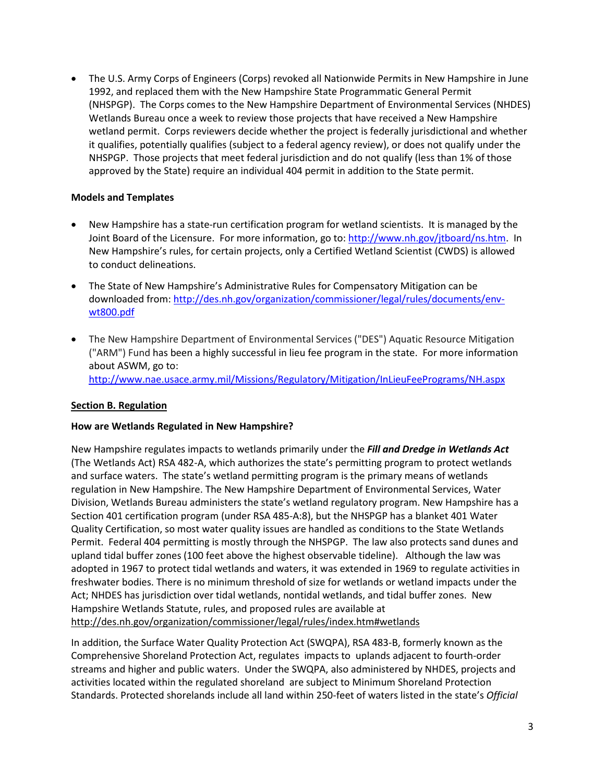• The U.S. Army Corps of Engineers (Corps) revoked all Nationwide Permits in New Hampshire in June 1992, and replaced them with the New Hampshire State Programmatic General Permit (NHSPGP). The Corps comes to the New Hampshire Department of Environmental Services (NHDES) Wetlands Bureau once a week to review those projects that have received a New Hampshire wetland permit. Corps reviewers decide whether the project is federally jurisdictional and whether it qualifies, potentially qualifies (subject to a federal agency review), or does not qualify under the NHSPGP. Those projects that meet federal jurisdiction and do not qualify (less than 1% of those approved by the State) require an individual 404 permit in addition to the State permit.

### **Models and Templates**

- New Hampshire has a state-run certification program for wetland scientists. It is managed by the Joint Board of the Licensure. For more information, go to[: http://www.nh.gov/jtboard/ns.htm.](http://www.nh.gov/jtboard/ns.htm) In New Hampshire's rules, for certain projects, only a Certified Wetland Scientist (CWDS) is allowed to conduct delineations.
- The State of New Hampshire's Administrative Rules for Compensatory Mitigation can be downloaded from[: http://des.nh.gov/organization/commissioner/legal/rules/documents/env](http://des.nh.gov/organization/commissioner/legal/rules/documents/env-wt800.pdf)[wt800.pdf](http://des.nh.gov/organization/commissioner/legal/rules/documents/env-wt800.pdf)
- The New Hampshire Department of Environmental Services ("DES") Aquatic Resource Mitigation ("ARM") Fund has been a highly successful in lieu fee program in the state. For more information about ASWM, go to: <http://www.nae.usace.army.mil/Missions/Regulatory/Mitigation/InLieuFeePrograms/NH.aspx>

# <span id="page-2-0"></span>**Section B. Regulation**

# **How are Wetlands Regulated in New Hampshire?**

New Hampshire regulates impacts to wetlands primarily under the *Fill and Dredge in Wetlands Act* (The Wetlands Act) RSA 482-A, which authorizes the state's permitting program to protect wetlands and surface waters. The state's wetland permitting program is the primary means of wetlands regulation in New Hampshire. The New Hampshire Department of Environmental Services, Water Division, Wetlands Bureau administers the state's wetland regulatory program. New Hampshire has a Section 401 certification program (under RSA 485-A:8), but the NHSPGP has a blanket 401 Water Quality Certification, so most water quality issues are handled as conditions to the State Wetlands Permit. Federal 404 permitting is mostly through the NHSPGP. The law also protects sand dunes and upland tidal buffer zones (100 feet above the highest observable tideline). Although the law was adopted in 1967 to protect tidal wetlands and waters, it was extended in 1969 to regulate activities in freshwater bodies. There is no minimum threshold of size for wetlands or wetland impacts under the Act; NHDES has jurisdiction over tidal wetlands, nontidal wetlands, and tidal buffer zones. New Hampshire Wetlands Statute, rules, and proposed rules are available at <http://des.nh.gov/organization/commissioner/legal/rules/index.htm#wetlands>

In addition, the Surface Water Quality Protection Act (SWQPA), RSA 483-B, formerly known as the Comprehensive Shoreland Protection Act, regulates impacts to uplands adjacent to fourth-order streams and higher and public waters. Under the SWQPA, also administered by NHDES, projects and activities located within the regulated shoreland are subject to Minimum Shoreland Protection Standards. Protected shorelands include all land within 250-feet of waters listed in the state's *Official*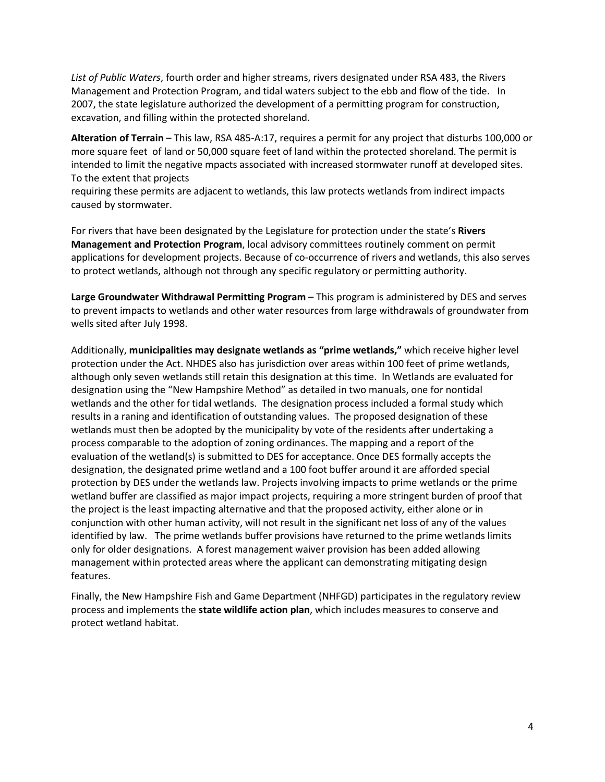*List of Public Waters*, fourth order and higher streams, rivers designated under RSA 483, the Rivers Management and Protection Program, and tidal waters subject to the ebb and flow of the tide. In 2007, the state legislature authorized the development of a permitting program for construction, excavation, and filling within the protected shoreland.

**Alteration of Terrain** – This law, RSA 485-A:17, requires a permit for any project that disturbs 100,000 or more square feet of land or 50,000 square feet of land within the protected shoreland. The permit is intended to limit the negative mpacts associated with increased stormwater runoff at developed sites. To the extent that projects

requiring these permits are adjacent to wetlands, this law protects wetlands from indirect impacts caused by stormwater.

For rivers that have been designated by the Legislature for protection under the state's **Rivers Management and Protection Program**, local advisory committees routinely comment on permit applications for development projects. Because of co-occurrence of rivers and wetlands, this also serves to protect wetlands, although not through any specific regulatory or permitting authority.

**Large Groundwater Withdrawal Permitting Program** – This program is administered by DES and serves to prevent impacts to wetlands and other water resources from large withdrawals of groundwater from wells sited after July 1998.

Additionally, **municipalities may designate wetlands as "prime wetlands,"** which receive higher level protection under the Act. NHDES also has jurisdiction over areas within 100 feet of prime wetlands, although only seven wetlands still retain this designation at this time. In Wetlands are evaluated for designation using the "New Hampshire Method" as detailed in two manuals, one for nontidal wetlands and the other for tidal wetlands. The designation process included a formal study which results in a raning and identification of outstanding values. The proposed designation of these wetlands must then be adopted by the municipality by vote of the residents after undertaking a process comparable to the adoption of zoning ordinances. The mapping and a report of the evaluation of the wetland(s) is submitted to DES for acceptance. Once DES formally accepts the designation, the designated prime wetland and a 100 foot buffer around it are afforded special protection by DES under the wetlands law. Projects involving impacts to prime wetlands or the prime wetland buffer are classified as major impact projects, requiring a more stringent burden of proof that the project is the least impacting alternative and that the proposed activity, either alone or in conjunction with other human activity, will not result in the significant net loss of any of the values identified by law. The prime wetlands buffer provisions have returned to the prime wetlands limits only for older designations. A forest management waiver provision has been added allowing management within protected areas where the applicant can demonstrating mitigating design features.

Finally, the New Hampshire Fish and Game Department (NHFGD) participates in the regulatory review process and implements the **state wildlife action plan**, which includes measures to conserve and protect wetland habitat.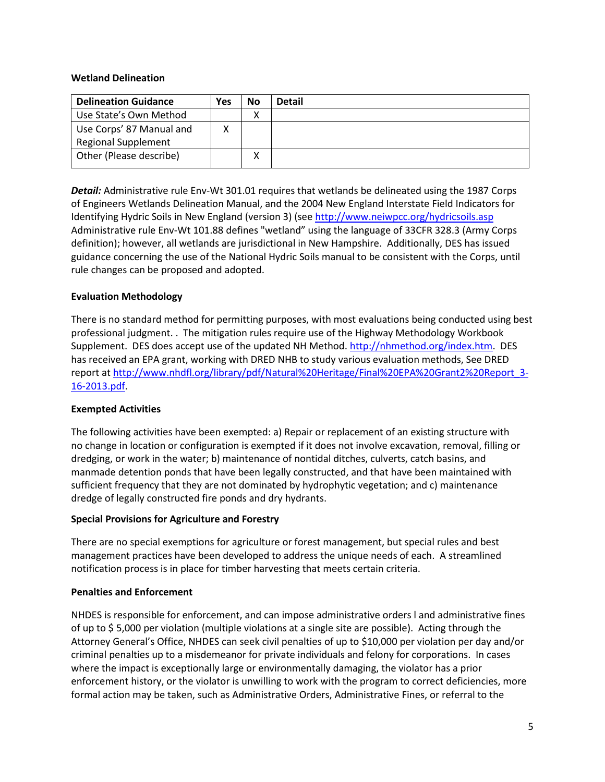#### **Wetland Delineation**

| <b>Delineation Guidance</b> | Yes | <b>No</b> | <b>Detail</b> |
|-----------------------------|-----|-----------|---------------|
| Use State's Own Method      |     |           |               |
| Use Corps' 87 Manual and    |     |           |               |
| <b>Regional Supplement</b>  |     |           |               |
| Other (Please describe)     |     | Λ         |               |
|                             |     |           |               |

*Detail:* Administrative rule Env-Wt 301.01 requires that wetlands be delineated using the 1987 Corps of Engineers Wetlands Delineation Manual, and the 2004 New England Interstate Field Indicators for Identifying Hydric Soils in New England (version 3) (see<http://www.neiwpcc.org/hydricsoils.asp> Administrative rule Env-Wt 101.88 defines "wetland" using the language of 33CFR 328.3 (Army Corps definition); however, all wetlands are jurisdictional in New Hampshire. Additionally, DES has issued guidance concerning the use of the National Hydric Soils manual to be consistent with the Corps, until rule changes can be proposed and adopted.

### **Evaluation Methodology**

There is no standard method for permitting purposes, with most evaluations being conducted using best professional judgment. . The mitigation rules require use of the Highway Methodology Workbook Supplement. DES does accept use of the updated NH Method. [http://nhmethod.org/index.htm.](http://nhmethod.org/index.htm) DES has received an EPA grant, working with DRED NHB to study various evaluation methods, See DRED report at [http://www.nhdfl.org/library/pdf/Natural%20Heritage/Final%20EPA%20Grant2%20Report\\_3-](http://www.nhdfl.org/library/pdf/Natural%20Heritage/Final%20EPA%20Grant2%20Report_3-16-2013.pdf) [16-2013.pdf.](http://www.nhdfl.org/library/pdf/Natural%20Heritage/Final%20EPA%20Grant2%20Report_3-16-2013.pdf)

#### **Exempted Activities**

The following activities have been exempted: a) Repair or replacement of an existing structure with no change in location or configuration is exempted if it does not involve excavation, removal, filling or dredging, or work in the water; b) maintenance of nontidal ditches, culverts, catch basins, and manmade detention ponds that have been legally constructed, and that have been maintained with sufficient frequency that they are not dominated by hydrophytic vegetation; and c) maintenance dredge of legally constructed fire ponds and dry hydrants.

#### **Special Provisions for Agriculture and Forestry**

There are no special exemptions for agriculture or forest management, but special rules and best management practices have been developed to address the unique needs of each. A streamlined notification process is in place for timber harvesting that meets certain criteria.

#### **Penalties and Enforcement**

NHDES is responsible for enforcement, and can impose administrative orders l and administrative fines of up to \$ 5,000 per violation (multiple violations at a single site are possible). Acting through the Attorney General's Office, NHDES can seek civil penalties of up to \$10,000 per violation per day and/or criminal penalties up to a misdemeanor for private individuals and felony for corporations. In cases where the impact is exceptionally large or environmentally damaging, the violator has a prior enforcement history, or the violator is unwilling to work with the program to correct deficiencies, more formal action may be taken, such as Administrative Orders, Administrative Fines, or referral to the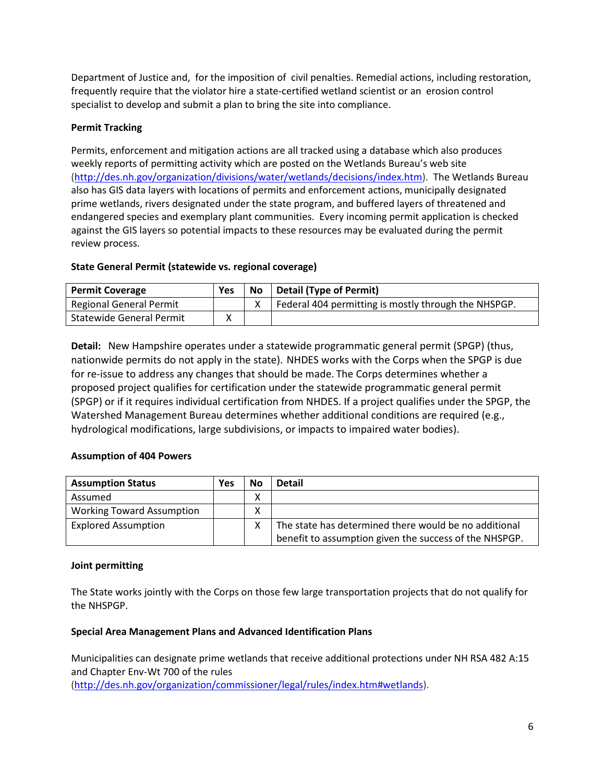Department of Justice and, for the imposition of civil penalties. Remedial actions, including restoration, frequently require that the violator hire a state-certified wetland scientist or an erosion control specialist to develop and submit a plan to bring the site into compliance.

# **Permit Tracking**

Permits, enforcement and mitigation actions are all tracked using a database which also produces weekly reports of permitting activity which are posted on the Wetlands Bureau's web site [\(http://des.nh.gov/organization/divisions/water/wetlands/decisions/index.htm\)](http://des.nh.gov/organization/divisions/water/wetlands/decisions/index.htm). The Wetlands Bureau also has GIS data layers with locations of permits and enforcement actions, municipally designated prime wetlands, rivers designated under the state program, and buffered layers of threatened and endangered species and exemplary plant communities. Every incoming permit application is checked against the GIS layers so potential impacts to these resources may be evaluated during the permit review process.

### **State General Permit (statewide vs. regional coverage)**

| <b>Permit Coverage</b>   | Yes | No | Detail (Type of Permit)                              |
|--------------------------|-----|----|------------------------------------------------------|
| Regional General Permit  |     |    | Federal 404 permitting is mostly through the NHSPGP. |
| Statewide General Permit |     |    |                                                      |

**Detail:** New Hampshire operates under a statewide programmatic general permit (SPGP) (thus, nationwide permits do not apply in the state). NHDES works with the Corps when the SPGP is due for re-issue to address any changes that should be made. The Corps determines whether a proposed project qualifies for certification under the statewide programmatic general permit (SPGP) or if it requires individual certification from NHDES. If a project qualifies under the SPGP, the Watershed Management Bureau determines whether additional conditions are required (e.g., hydrological modifications, large subdivisions, or impacts to impaired water bodies).

# **Assumption of 404 Powers**

| <b>Assumption Status</b>         | Yes | No | <b>Detail</b>                                          |
|----------------------------------|-----|----|--------------------------------------------------------|
| Assumed                          |     | χ  |                                                        |
| <b>Working Toward Assumption</b> |     | Χ  |                                                        |
| <b>Explored Assumption</b>       |     |    | The state has determined there would be no additional  |
|                                  |     |    | benefit to assumption given the success of the NHSPGP. |

#### **Joint permitting**

The State works jointly with the Corps on those few large transportation projects that do not qualify for the NHSPGP.

#### **Special Area Management Plans and Advanced Identification Plans**

Municipalities can designate prime wetlands that receive additional protections under NH RSA 482 A:15 and Chapter Env-Wt 700 of the rules [\(http://des.nh.gov/organization/commissioner/legal/rules/index.htm#wetlands\)](http://des.nh.gov/organization/commissioner/legal/rules/index.htm#wetlands).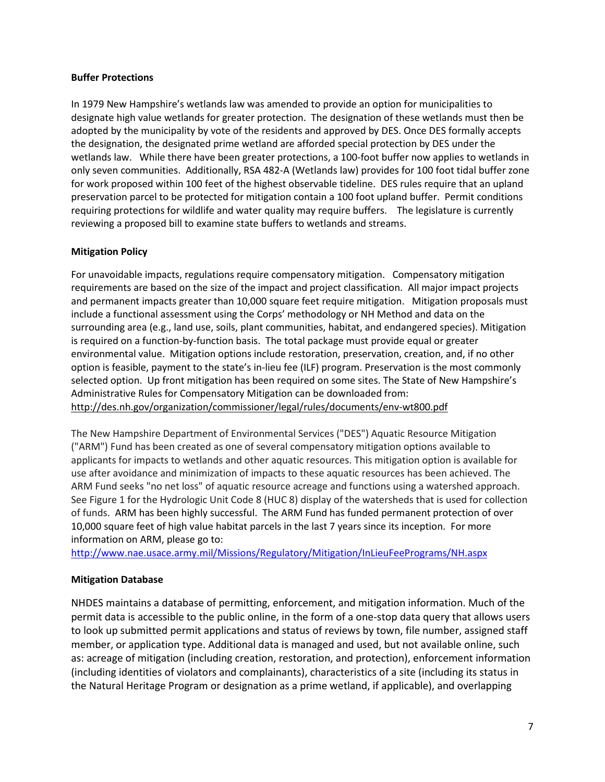#### **Buffer Protections**

In 1979 New Hampshire's wetlands law was amended to provide an option for municipalities to designate high value wetlands for greater protection. The designation of these wetlands must then be adopted by the municipality by vote of the residents and approved by DES. Once DES formally accepts the designation, the designated prime wetland are afforded special protection by DES under the wetlands law. While there have been greater protections, a 100-foot buffer now applies to wetlands in only seven communities. Additionally, RSA 482-A (Wetlands law) provides for 100 foot tidal buffer zone for work proposed within 100 feet of the highest observable tideline. DES rules require that an upland preservation parcel to be protected for mitigation contain a 100 foot upland buffer. Permit conditions requiring protections for wildlife and water quality may require buffers. The legislature is currently reviewing a proposed bill to examine state buffers to wetlands and streams.

#### **Mitigation Policy**

For unavoidable impacts, regulations require compensatory mitigation. Compensatory mitigation requirements are based on the size of the impact and project classification. All major impact projects and permanent impacts greater than 10,000 square feet require mitigation. Mitigation proposals must include a functional assessment using the Corps' methodology or NH Method and data on the surrounding area (e.g., land use, soils, plant communities, habitat, and endangered species). Mitigation is required on a function-by-function basis. The total package must provide equal or greater environmental value. Mitigation options include restoration, preservation, creation, and, if no other option is feasible, payment to the state's in-lieu fee (ILF) program. Preservation is the most commonly selected option. Up front mitigation has been required on some sites. The State of New Hampshire's Administrative Rules for Compensatory Mitigation can be downloaded from: <http://des.nh.gov/organization/commissioner/legal/rules/documents/env-wt800.pdf>

The New Hampshire Department of Environmental Services ("DES") Aquatic Resource Mitigation ("ARM") Fund has been created as one of several compensatory mitigation options available to applicants for impacts to wetlands and other aquatic resources. This mitigation option is available for use after avoidance and minimization of impacts to these aquatic resources has been achieved. The ARM Fund seeks "no net loss" of aquatic resource acreage and functions using a watershed approach. See Figure 1 for the Hydrologic Unit Code 8 (HUC 8) display of the watersheds that is used for collection of funds. ARM has been highly successful. The ARM Fund has funded permanent protection of over 10,000 square feet of high value habitat parcels in the last 7 years since its inception. For more information on ARM, please go to:

<http://www.nae.usace.army.mil/Missions/Regulatory/Mitigation/InLieuFeePrograms/NH.aspx>

#### **Mitigation Database**

NHDES maintains a database of permitting, enforcement, and mitigation information. Much of the permit data is accessible to the public online, in the form of a one-stop data query that allows users to look up submitted permit applications and status of reviews by town, file number, assigned staff member, or application type. Additional data is managed and used, but not available online, such as: acreage of mitigation (including creation, restoration, and protection), enforcement information (including identities of violators and complainants), characteristics of a site (including its status in the Natural Heritage Program or designation as a prime wetland, if applicable), and overlapping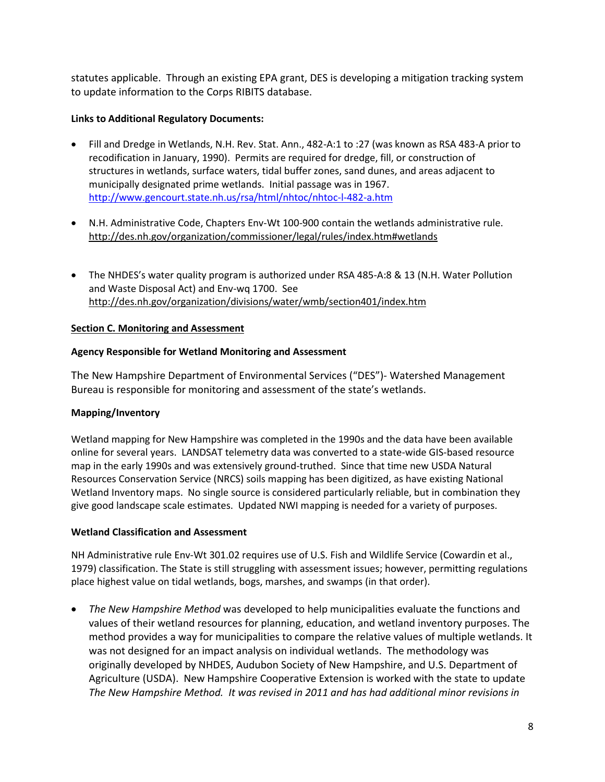statutes applicable. Through an existing EPA grant, DES is developing a mitigation tracking system to update information to the Corps RIBITS database.

### **Links to Additional Regulatory Documents:**

- Fill and Dredge in Wetlands, N.H. Rev. Stat. Ann., 482-A:1 to :27 (was known as RSA 483-A prior to recodification in January, 1990). Permits are required for dredge, fill, or construction of structures in wetlands, surface waters, tidal buffer zones, sand dunes, and areas adjacent to municipally designated prime wetlands. Initial passage was in 1967. <http://www.gencourt.state.nh.us/rsa/html/nhtoc/nhtoc-l-482-a.htm>
- N.H. Administrative Code, Chapters Env-Wt 100-900 contain the wetlands administrative rule. <http://des.nh.gov/organization/commissioner/legal/rules/index.htm#wetlands>
- The NHDES's water quality program is authorized under RSA 485-A:8 & 13 (N.H. Water Pollution and Waste Disposal Act) and Env-wq 1700. See <http://des.nh.gov/organization/divisions/water/wmb/section401/index.htm>

### <span id="page-7-0"></span>**Section C. Monitoring and Assessment**

### **Agency Responsible for Wetland Monitoring and Assessment**

The New Hampshire Department of Environmental Services ("DES")- Watershed Management Bureau is responsible for monitoring and assessment of the state's wetlands.

# **Mapping/Inventory**

Wetland mapping for New Hampshire was completed in the 1990s and the data have been available online for several years. LANDSAT telemetry data was converted to a state-wide GIS-based resource map in the early 1990s and was extensively ground-truthed. Since that time new USDA Natural Resources Conservation Service (NRCS) soils mapping has been digitized, as have existing National Wetland Inventory maps. No single source is considered particularly reliable, but in combination they give good landscape scale estimates. Updated NWI mapping is needed for a variety of purposes.

#### **Wetland Classification and Assessment**

NH Administrative rule Env-Wt 301.02 requires use of U.S. Fish and Wildlife Service (Cowardin et al., 1979) classification. The State is still struggling with assessment issues; however, permitting regulations place highest value on tidal wetlands, bogs, marshes, and swamps (in that order).

• *The New Hampshire Method* was developed to help municipalities evaluate the functions and values of their wetland resources for planning, education, and wetland inventory purposes. The method provides a way for municipalities to compare the relative values of multiple wetlands. It was not designed for an impact analysis on individual wetlands. The methodology was originally developed by NHDES, Audubon Society of New Hampshire, and U.S. Department of Agriculture (USDA). New Hampshire Cooperative Extension is worked with the state to update *The New Hampshire Method. It was revised in 2011 and has had additional minor revisions in*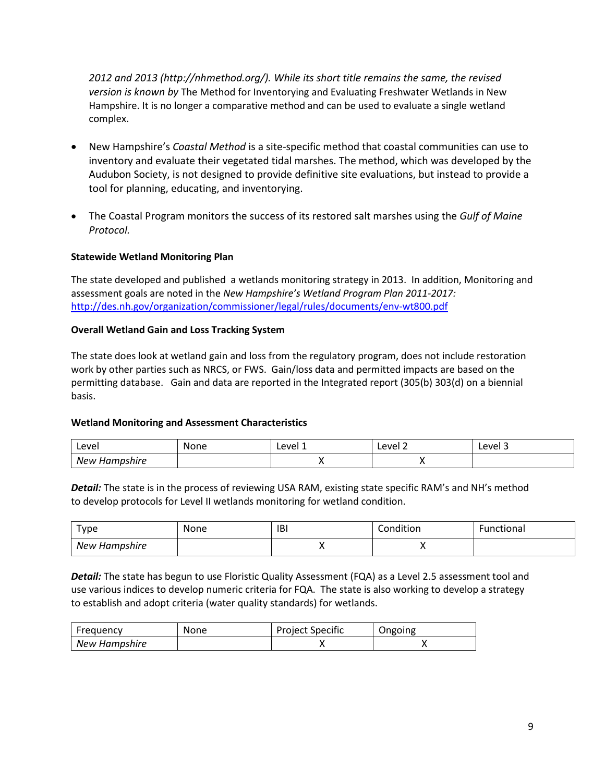*2012 and 2013 (http://nhmethod.org/). While its short title remains the same, the revised version is known by* The Method for Inventorying and Evaluating Freshwater Wetlands in New Hampshire. It is no longer a comparative method and can be used to evaluate a single wetland complex.

- New Hampshire's *Coastal Method* is a site-specific method that coastal communities can use to inventory and evaluate their vegetated tidal marshes. The method, which was developed by the Audubon Society, is not designed to provide definitive site evaluations, but instead to provide a tool for planning, educating, and inventorying.
- The Coastal Program monitors the success of its restored salt marshes using the *Gulf of Maine Protocol.*

### **Statewide Wetland Monitoring Plan**

The state developed and published a wetlands monitoring strategy in 2013. In addition, Monitoring and assessment goals are noted in the *New Hampshire's Wetland Program Plan 2011-2017:* <http://des.nh.gov/organization/commissioner/legal/rules/documents/env-wt800.pdf>

#### **Overall Wetland Gain and Loss Tracking System**

The state does look at wetland gain and loss from the regulatory program, does not include restoration work by other parties such as NRCS, or FWS. Gain/loss data and permitted impacts are based on the permitting database. Gain and data are reported in the Integrated report (305(b) 303(d) on a biennial basis.

#### **Wetland Monitoring and Assessment Characteristics**

| Level              | None | Level 1 | Level 2 | Level 3 |
|--------------------|------|---------|---------|---------|
| New<br>' Hampshire |      | . .     | ,,      |         |

**Detail:** The state is in the process of reviewing USA RAM, existing state specific RAM's and NH's method to develop protocols for Level II wetlands monitoring for wetland condition.

| туре          | None | <b>IBI</b> | Condition | Functional |
|---------------|------|------------|-----------|------------|
| New Hampshire |      |            | ,,        |            |

*Detail:* The state has begun to use Floristic Quality Assessment (FQA) as a Level 2.5 assessment tool and use various indices to develop numeric criteria for FQA. The state is also working to develop a strategy to establish and adopt criteria (water quality standards) for wetlands.

| Freguency     | None | <b>Project Specific</b> | Ongoing |
|---------------|------|-------------------------|---------|
| New Hampshire |      |                         |         |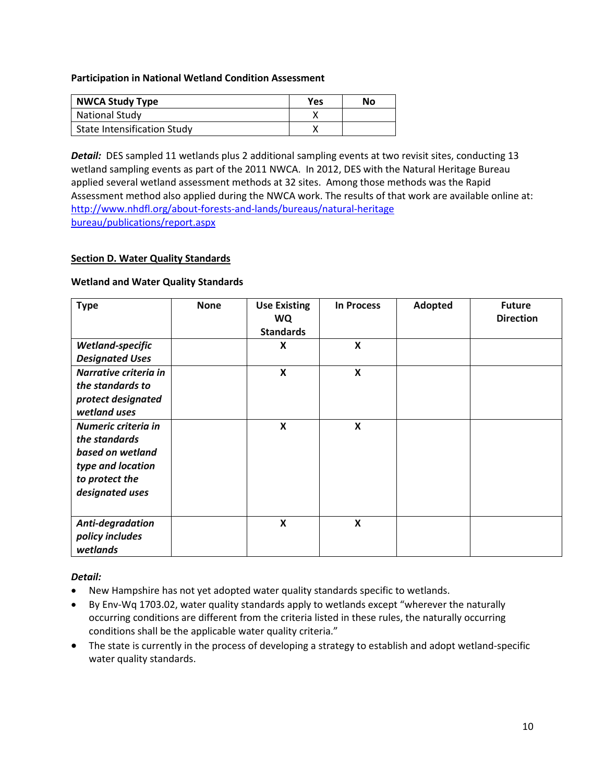**Participation in National Wetland Condition Assessment**

| <b>NWCA Study Type</b>             | <b>Yes</b> | No |
|------------------------------------|------------|----|
| <b>National Study</b>              |            |    |
| <b>State Intensification Study</b> |            |    |

*Detail:* DES sampled 11 wetlands plus 2 additional sampling events at two revisit sites, conducting 13 wetland sampling events as part of the 2011 NWCA. In 2012, DES with the Natural Heritage Bureau applied several wetland assessment methods at 32 sites. Among those methods was the Rapid Assessment method also applied during the NWCA work. The results of that work are available online at: [http://www.nhdfl.org/about-forests-and-lands/bureaus/natural-heritage](http://www.nhdfl.org/about-forests-and-lands/bureaus/natural-heritage%20bureau/publications/report.aspx) [bureau/publications/report.aspx](http://www.nhdfl.org/about-forests-and-lands/bureaus/natural-heritage%20bureau/publications/report.aspx)

#### <span id="page-9-0"></span>**Section D. Water Quality Standards**

#### **Wetland and Water Quality Standards**

| <b>Type</b>                                                                                                        | <b>None</b> | <b>Use Existing</b><br><b>WQ</b><br><b>Standards</b> | <b>In Process</b> | Adopted | <b>Future</b><br><b>Direction</b> |
|--------------------------------------------------------------------------------------------------------------------|-------------|------------------------------------------------------|-------------------|---------|-----------------------------------|
| Wetland-specific<br><b>Designated Uses</b>                                                                         |             | X                                                    | X                 |         |                                   |
| Narrative criteria in<br>the standards to<br>protect designated<br>wetland uses                                    |             | $\boldsymbol{\mathsf{X}}$                            | X                 |         |                                   |
| Numeric criteria in<br>the standards<br>based on wetland<br>type and location<br>to protect the<br>designated uses |             | X                                                    | X                 |         |                                   |
| Anti-degradation<br>policy includes<br>wetlands                                                                    |             | X                                                    | X                 |         |                                   |

#### *Detail:*

- New Hampshire has not yet adopted water quality standards specific to wetlands.
- By Env-Wq 1703.02, water quality standards apply to wetlands except "wherever the naturally occurring conditions are different from the criteria listed in these rules, the naturally occurring conditions shall be the applicable water quality criteria."
- The state is currently in the process of developing a strategy to establish and adopt wetland-specific water quality standards.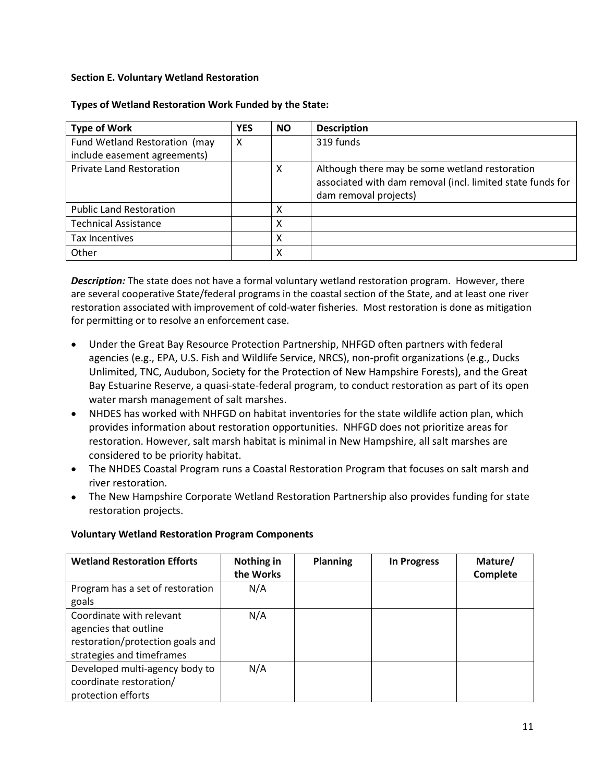### <span id="page-10-0"></span>**Section E. Voluntary Wetland Restoration**

| <b>Type of Work</b>             | <b>YES</b> | <b>NO</b> | <b>Description</b>                                                                                                                    |
|---------------------------------|------------|-----------|---------------------------------------------------------------------------------------------------------------------------------------|
| Fund Wetland Restoration (may   | X          |           | 319 funds                                                                                                                             |
| include easement agreements)    |            |           |                                                                                                                                       |
| <b>Private Land Restoration</b> |            | X         | Although there may be some wetland restoration<br>associated with dam removal (incl. limited state funds for<br>dam removal projects) |
| <b>Public Land Restoration</b>  |            | х         |                                                                                                                                       |
| <b>Technical Assistance</b>     |            | x         |                                                                                                                                       |
| <b>Tax Incentives</b>           |            | х         |                                                                                                                                       |
| Other                           |            | x         |                                                                                                                                       |

#### **Types of Wetland Restoration Work Funded by the State:**

*Description:* The state does not have a formal voluntary wetland restoration program. However, there are several cooperative State/federal programs in the coastal section of the State, and at least one river restoration associated with improvement of cold-water fisheries. Most restoration is done as mitigation for permitting or to resolve an enforcement case.

- Under the Great Bay Resource Protection Partnership, NHFGD often partners with federal agencies (e.g., EPA, U.S. Fish and Wildlife Service, NRCS), non-profit organizations (e.g., Ducks Unlimited, TNC, Audubon, Society for the Protection of New Hampshire Forests), and the Great Bay Estuarine Reserve, a quasi-state-federal program, to conduct restoration as part of its open water marsh management of salt marshes.
- NHDES has worked with NHFGD on habitat inventories for the state wildlife action plan, which provides information about restoration opportunities. NHFGD does not prioritize areas for restoration. However, salt marsh habitat is minimal in New Hampshire, all salt marshes are considered to be priority habitat.
- The NHDES Coastal Program runs a Coastal Restoration Program that focuses on salt marsh and river restoration.
- The New Hampshire Corporate Wetland Restoration Partnership also provides funding for state restoration projects.

| <b>Wetland Restoration Efforts</b> | Nothing in<br>the Works | <b>Planning</b> | <b>In Progress</b> | Mature/<br>Complete |
|------------------------------------|-------------------------|-----------------|--------------------|---------------------|
|                                    |                         |                 |                    |                     |
| Program has a set of restoration   | N/A                     |                 |                    |                     |
| goals                              |                         |                 |                    |                     |
| Coordinate with relevant           | N/A                     |                 |                    |                     |
| agencies that outline              |                         |                 |                    |                     |
| restoration/protection goals and   |                         |                 |                    |                     |
| strategies and timeframes          |                         |                 |                    |                     |
| Developed multi-agency body to     | N/A                     |                 |                    |                     |
| coordinate restoration/            |                         |                 |                    |                     |
| protection efforts                 |                         |                 |                    |                     |

#### **Voluntary Wetland Restoration Program Components**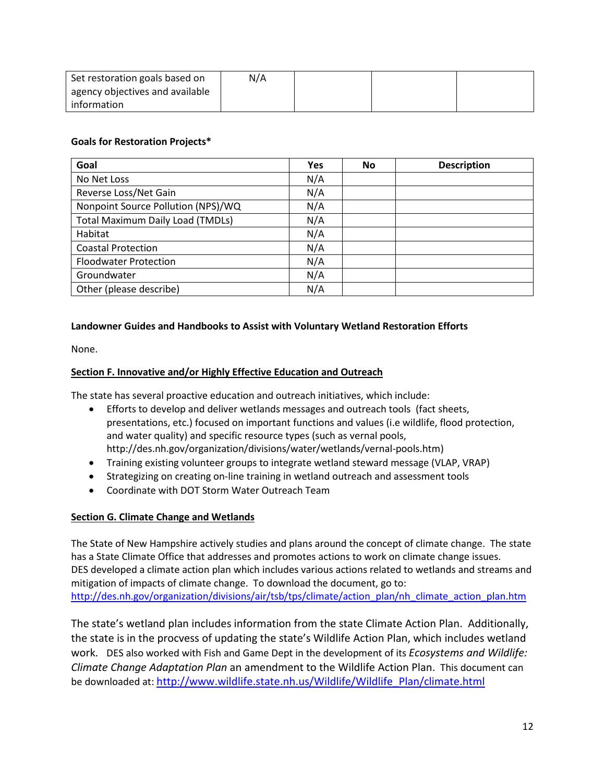| Set restoration goals based on  | N/A |  |  |
|---------------------------------|-----|--|--|
| agency objectives and available |     |  |  |
| information                     |     |  |  |

### **Goals for Restoration Projects\***

| Goal                                    | <b>Yes</b> | No | <b>Description</b> |
|-----------------------------------------|------------|----|--------------------|
| No Net Loss                             | N/A        |    |                    |
| Reverse Loss/Net Gain                   | N/A        |    |                    |
| Nonpoint Source Pollution (NPS)/WQ      | N/A        |    |                    |
| <b>Total Maximum Daily Load (TMDLs)</b> | N/A        |    |                    |
| Habitat                                 | N/A        |    |                    |
| <b>Coastal Protection</b>               | N/A        |    |                    |
| <b>Floodwater Protection</b>            | N/A        |    |                    |
| Groundwater                             | N/A        |    |                    |
| Other (please describe)                 | N/A        |    |                    |

### **Landowner Guides and Handbooks to Assist with Voluntary Wetland Restoration Efforts**

None.

### <span id="page-11-0"></span>**Section F. Innovative and/or Highly Effective Education and Outreach**

The state has several proactive education and outreach initiatives, which include:

- Efforts to develop and deliver wetlands messages and outreach tools (fact sheets, presentations, etc.) focused on important functions and values (i.e wildlife, flood protection, and water quality) and specific resource types (such as vernal pools, http://des.nh.gov/organization/divisions/water/wetlands/vernal-pools.htm)
- Training existing volunteer groups to integrate wetland steward message (VLAP, VRAP)
- Strategizing on creating on-line training in wetland outreach and assessment tools
- Coordinate with DOT Storm Water Outreach Team

#### **Section G. Climate Change and Wetlands**

The State of New Hampshire actively studies and plans around the concept of climate change. The state has a State Climate Office that addresses and promotes actions to work on climate change issues. DES developed a climate action plan which includes various actions related to wetlands and streams and mitigation of impacts of climate change. To download the document, go to: [http://des.nh.gov/organization/divisions/air/tsb/tps/climate/action\\_plan/nh\\_climate\\_action\\_plan.htm](http://des.nh.gov/organization/divisions/air/tsb/tps/climate/action_plan/nh_climate_action_plan.htm)

The state's wetland plan includes information from the state Climate Action Plan. Additionally, the state is in the procvess of updating the state's Wildlife Action Plan, which includes wetland work. DES also worked with Fish and Game Dept in the development of its *Ecosystems and Wildlife: Climate Change Adaptation Plan* an amendment to the Wildlife Action Plan. This document can be downloaded at[: http://www.wildlife.state.nh.us/Wildlife/Wildlife\\_Plan/climate.html](http://www.wildlife.state.nh.us/Wildlife/Wildlife_Plan/climate.html)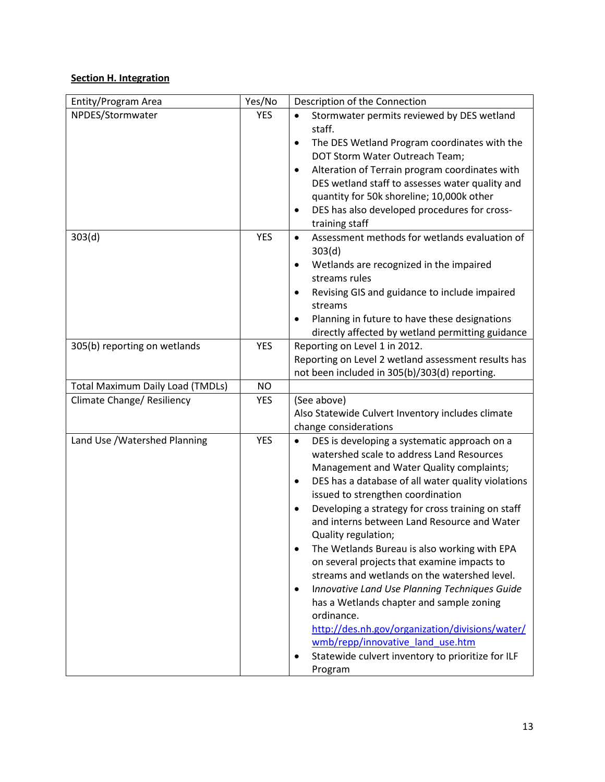# <span id="page-12-0"></span>**Section H. Integration**

| Entity/Program Area                     | Yes/No     | Description of the Connection                                                                 |  |  |  |
|-----------------------------------------|------------|-----------------------------------------------------------------------------------------------|--|--|--|
| NPDES/Stormwater                        | <b>YES</b> | Stormwater permits reviewed by DES wetland<br>$\bullet$                                       |  |  |  |
|                                         |            | staff.                                                                                        |  |  |  |
|                                         |            | The DES Wetland Program coordinates with the<br>$\bullet$                                     |  |  |  |
|                                         |            | DOT Storm Water Outreach Team;                                                                |  |  |  |
|                                         |            | Alteration of Terrain program coordinates with<br>٠                                           |  |  |  |
|                                         |            | DES wetland staff to assesses water quality and                                               |  |  |  |
|                                         |            | quantity for 50k shoreline; 10,000k other                                                     |  |  |  |
|                                         |            | DES has also developed procedures for cross-                                                  |  |  |  |
|                                         |            | training staff                                                                                |  |  |  |
| 303(d)                                  | <b>YES</b> | Assessment methods for wetlands evaluation of<br>$\bullet$                                    |  |  |  |
|                                         |            | 303(d)                                                                                        |  |  |  |
|                                         |            | Wetlands are recognized in the impaired                                                       |  |  |  |
|                                         |            | streams rules                                                                                 |  |  |  |
|                                         |            | Revising GIS and guidance to include impaired<br>$\bullet$                                    |  |  |  |
|                                         |            | streams<br>Planning in future to have these designations                                      |  |  |  |
|                                         |            | $\bullet$<br>directly affected by wetland permitting guidance                                 |  |  |  |
| 305(b) reporting on wetlands            | <b>YES</b> | Reporting on Level 1 in 2012.                                                                 |  |  |  |
|                                         |            | Reporting on Level 2 wetland assessment results has                                           |  |  |  |
|                                         |            | not been included in 305(b)/303(d) reporting.                                                 |  |  |  |
| <b>Total Maximum Daily Load (TMDLs)</b> | <b>NO</b>  |                                                                                               |  |  |  |
| Climate Change/ Resiliency              | <b>YES</b> | (See above)                                                                                   |  |  |  |
|                                         |            | Also Statewide Culvert Inventory includes climate                                             |  |  |  |
|                                         |            | change considerations                                                                         |  |  |  |
| Land Use / Watershed Planning           | <b>YES</b> | DES is developing a systematic approach on a<br>$\bullet$                                     |  |  |  |
|                                         |            | watershed scale to address Land Resources                                                     |  |  |  |
|                                         |            | Management and Water Quality complaints;                                                      |  |  |  |
|                                         |            | DES has a database of all water quality violations<br>$\bullet$                               |  |  |  |
|                                         |            | issued to strengthen coordination                                                             |  |  |  |
|                                         |            | Developing a strategy for cross training on staff<br>$\bullet$                                |  |  |  |
|                                         |            | and interns between Land Resource and Water                                                   |  |  |  |
|                                         |            | Quality regulation;                                                                           |  |  |  |
|                                         |            | The Wetlands Bureau is also working with EPA<br>٠                                             |  |  |  |
|                                         |            | on several projects that examine impacts to                                                   |  |  |  |
|                                         |            | streams and wetlands on the watershed level.<br>Innovative Land Use Planning Techniques Guide |  |  |  |
|                                         |            | $\bullet$<br>has a Wetlands chapter and sample zoning                                         |  |  |  |
|                                         |            | ordinance.                                                                                    |  |  |  |
|                                         |            | http://des.nh.gov/organization/divisions/water/                                               |  |  |  |
|                                         |            | wmb/repp/innovative land use.htm                                                              |  |  |  |
|                                         |            | Statewide culvert inventory to prioritize for ILF                                             |  |  |  |
|                                         |            | Program                                                                                       |  |  |  |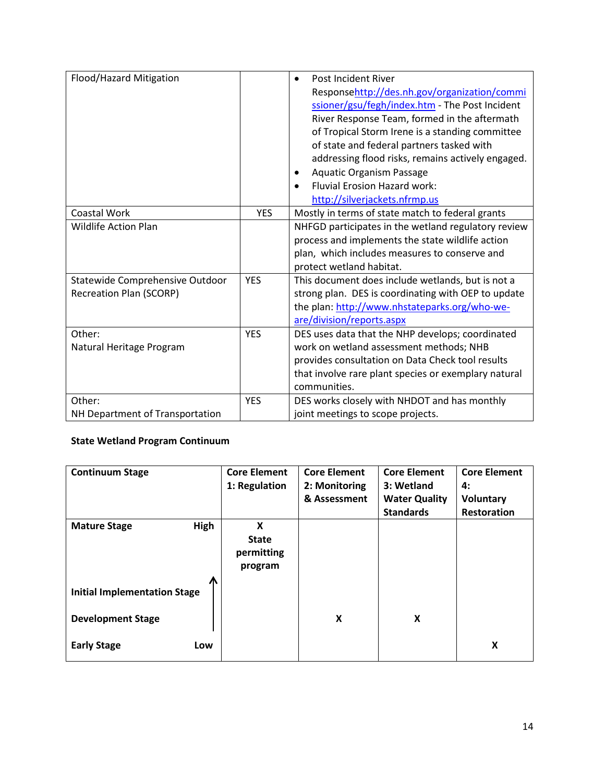| Flood/Hazard Mitigation         |            | <b>Post Incident River</b>                           |
|---------------------------------|------------|------------------------------------------------------|
|                                 |            | Responsehttp://des.nh.gov/organization/commi         |
|                                 |            | ssioner/gsu/fegh/index.htm - The Post Incident       |
|                                 |            | River Response Team, formed in the aftermath         |
|                                 |            | of Tropical Storm Irene is a standing committee      |
|                                 |            | of state and federal partners tasked with            |
|                                 |            | addressing flood risks, remains actively engaged.    |
|                                 |            | <b>Aquatic Organism Passage</b>                      |
|                                 |            | <b>Fluvial Erosion Hazard work:</b>                  |
|                                 |            | http://silverjackets.nfrmp.us                        |
| Coastal Work                    | <b>YES</b> | Mostly in terms of state match to federal grants     |
| <b>Wildlife Action Plan</b>     |            | NHFGD participates in the wetland regulatory review  |
|                                 |            | process and implements the state wildlife action     |
|                                 |            | plan, which includes measures to conserve and        |
|                                 |            | protect wetland habitat.                             |
| Statewide Comprehensive Outdoor | <b>YES</b> | This document does include wetlands, but is not a    |
| <b>Recreation Plan (SCORP)</b>  |            | strong plan. DES is coordinating with OEP to update  |
|                                 |            | the plan: http://www.nhstateparks.org/who-we-        |
|                                 |            | are/division/reports.aspx                            |
| Other:                          | <b>YES</b> | DES uses data that the NHP develops; coordinated     |
| Natural Heritage Program        |            | work on wetland assessment methods; NHB              |
|                                 |            | provides consultation on Data Check tool results     |
|                                 |            | that involve rare plant species or exemplary natural |
|                                 |            | communities.                                         |
| Other:                          | <b>YES</b> | DES works closely with NHDOT and has monthly         |
| NH Department of Transportation |            | joint meetings to scope projects.                    |

# **State Wetland Program Continuum**

| <b>Continuum Stage</b>                   | <b>Core Element</b><br>1: Regulation       | <b>Core Element</b><br>2: Monitoring<br>& Assessment | <b>Core Element</b><br>3: Wetland<br><b>Water Quality</b><br><b>Standards</b> | <b>Core Element</b><br>4:<br>Voluntary<br><b>Restoration</b> |
|------------------------------------------|--------------------------------------------|------------------------------------------------------|-------------------------------------------------------------------------------|--------------------------------------------------------------|
| <b>High</b><br><b>Mature Stage</b>       | X<br><b>State</b><br>permitting<br>program |                                                      |                                                                               |                                                              |
| Л<br><b>Initial Implementation Stage</b> |                                            |                                                      |                                                                               |                                                              |
| <b>Development Stage</b>                 |                                            | X                                                    | X                                                                             |                                                              |
| <b>Early Stage</b><br>Low                |                                            |                                                      |                                                                               | X                                                            |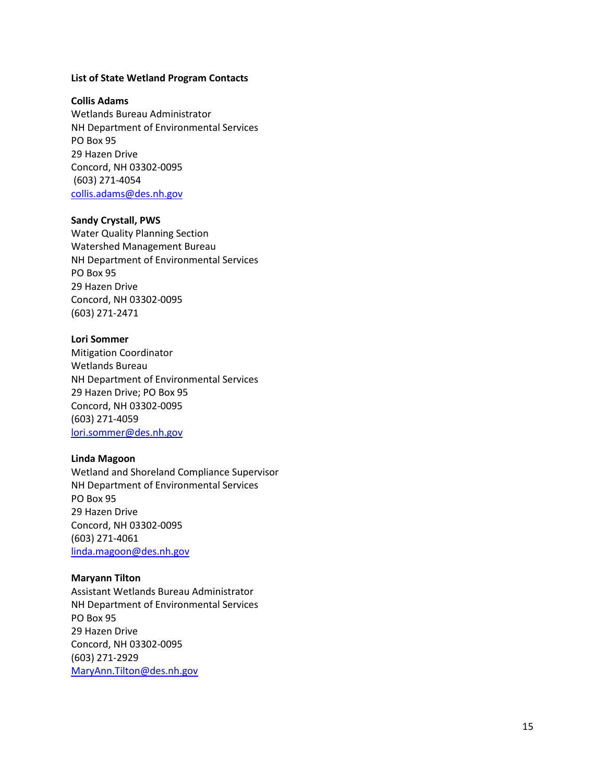#### **List of State Wetland Program Contact s**

#### **Collis Adams**

Wetlands Bureau Administrator NH Department of Environmental Services PO Box 95 29 Hazen Drive Concord, NH 03302 -0095 (603) 271 -4054 [collis.adams@des.nh.gov](mailto:COLLIS.ADAMS@DES.NH.GOV)

#### **Sandy Crystall, PWS**

Water Quality Planning Section Watershed Management Bureau NH Department of Environmental Services PO Box 95 29 Hazen Drive Concord, NH 03302 -0095 (603) 271 -2471

#### **Lori Sommer**

Mitigation Coordinator Wetlands Bureau NH Department of Environmental Services 29 Hazen Drive; PO Box 95 Concord, NH 03302 -0095 (603) 271 - 4059 [lori.sommer@des.nh.gov](mailto:lori.sommer@des.nh.gov)

#### **Linda Magoon**

Wetland and Shoreland Compliance Supervisor NH Department of Environmental Services PO Box 95 29 Hazen Drive Concord, NH 03302 -0095 (603) 271 -4061 [linda.magoon@des.nh.gov](mailto:linda.magoon@des.nh.gov)

#### **Maryann Tilton**

Assistant Wetlands Bureau Administrator NH Department of Environmental Services PO Box 95 29 Hazen Drive Concord, NH 03302 -0095 (603) 271 -2929 [MaryAnn.Tilton@des.nh.gov](mailto:MaryAnn.Tilton@des.nh.gov)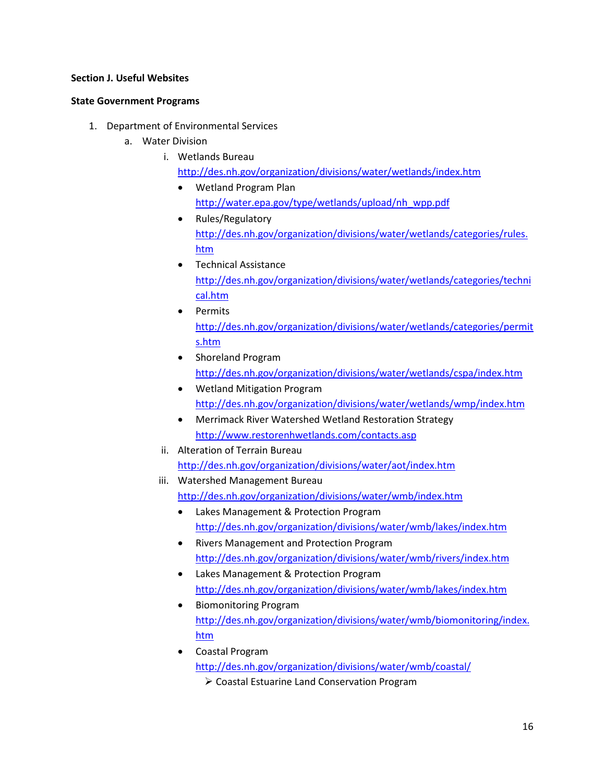#### **Section J. Useful Websites**

#### **State Government Programs**

- 1. Department of Environmental Services
	- a. Water Division
		- i. Wetlands Bureau
			- <http://des.nh.gov/organization/divisions/water/wetlands/index.htm>
			- Wetland Program Plan [http://water.epa.gov/type/wetlands/upload/nh\\_wpp.pdf](http://water.epa.gov/type/wetlands/upload/nh_wpp.pdf)
			- Rules/Regulatory [http://des.nh.gov/organization/divisions/water/wetlands/categories/rules.](http://des.nh.gov/organization/divisions/water/wetlands/categories/rules.htm) [htm](http://des.nh.gov/organization/divisions/water/wetlands/categories/rules.htm)
			- Technical Assistance [http://des.nh.gov/organization/divisions/water/wetlands/categories/techni](http://des.nh.gov/organization/divisions/water/wetlands/categories/technical.htm) [cal.htm](http://des.nh.gov/organization/divisions/water/wetlands/categories/technical.htm)
			- Permits [http://des.nh.gov/organization/divisions/water/wetlands/categories/permit](http://des.nh.gov/organization/divisions/water/wetlands/categories/permits.htm) [s.htm](http://des.nh.gov/organization/divisions/water/wetlands/categories/permits.htm)
			- Shoreland Program <http://des.nh.gov/organization/divisions/water/wetlands/cspa/index.htm>
			- Wetland Mitigation Program <http://des.nh.gov/organization/divisions/water/wetlands/wmp/index.htm>
			- Merrimack River Watershed Wetland Restoration Strategy <http://www.restorenhwetlands.com/contacts.asp>
		- ii. Alteration of Terrain Bureau <http://des.nh.gov/organization/divisions/water/aot/index.htm>
		- iii. Watershed Management Bureau <http://des.nh.gov/organization/divisions/water/wmb/index.htm>
			- Lakes Management & Protection Program <http://des.nh.gov/organization/divisions/water/wmb/lakes/index.htm>
			- Rivers Management and Protection Program <http://des.nh.gov/organization/divisions/water/wmb/rivers/index.htm>
			- Lakes Management & Protection Program <http://des.nh.gov/organization/divisions/water/wmb/lakes/index.htm>
			- Biomonitoring Program [http://des.nh.gov/organization/divisions/water/wmb/biomonitoring/index.](http://des.nh.gov/organization/divisions/water/wmb/biomonitoring/index.htm) [htm](http://des.nh.gov/organization/divisions/water/wmb/biomonitoring/index.htm)
			- Coastal Program <http://des.nh.gov/organization/divisions/water/wmb/coastal/>
				- Coastal Estuarine Land Conservation Program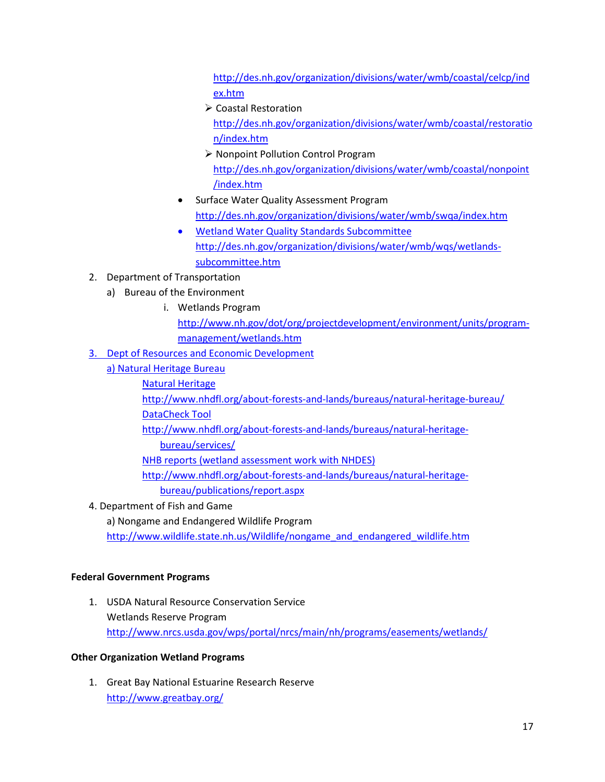[http://des.nh.gov/organization/divisions/water/wmb/coastal/celcp/ind](http://des.nh.gov/organization/divisions/water/wmb/coastal/celcp/index.htm) [ex.htm](http://des.nh.gov/organization/divisions/water/wmb/coastal/celcp/index.htm)

- ▶ Coastal Restoration [http://des.nh.gov/organization/divisions/water/wmb/coastal/restoratio](http://des.nh.gov/organization/divisions/water/wmb/coastal/restoration/index.htm) [n/index.htm](http://des.nh.gov/organization/divisions/water/wmb/coastal/restoration/index.htm)
- ▶ Nonpoint Pollution Control Program [http://des.nh.gov/organization/divisions/water/wmb/coastal/nonpoint](http://des.nh.gov/organization/divisions/water/wmb/coastal/nonpoint/index.htm) [/index.htm](http://des.nh.gov/organization/divisions/water/wmb/coastal/nonpoint/index.htm)
- Surface Water Quality Assessment Program <http://des.nh.gov/organization/divisions/water/wmb/swqa/index.htm>
- Wetland Water Quality Standards Subcommittee [http://des.nh.gov/organization/divisions/water/wmb/wqs/wetlands](http://des.nh.gov/organization/divisions/water/wmb/wqs/wetlands-subcommittee.htm)[subcommittee.htm](http://des.nh.gov/organization/divisions/water/wmb/wqs/wetlands-subcommittee.htm)
- 2. Department of Transportation
	- a) Bureau of the Environment
		- i. Wetlands Program [http://www.nh.gov/dot/org/projectdevelopment/environment/units/program](http://www.nh.gov/dot/org/projectdevelopment/environment/units/program-management/wetlands.htm)[management/wetlands.htm](http://www.nh.gov/dot/org/projectdevelopment/environment/units/program-management/wetlands.htm)
- 3. Dept of Resources and Economic Development
	- a) Natural Heritage Bureau
		- Natural Heritage

<http://www.nhdfl.org/about-forests-and-lands/bureaus/natural-heritage-bureau/> DataCheck Tool

[http://www.nhdfl.org/about-forests-and-lands/bureaus/natural-heritage-](http://www.nhdfl.org/about-forests-and-lands/bureaus/natural-heritage-bureau/services/)

[bureau/services/](http://www.nhdfl.org/about-forests-and-lands/bureaus/natural-heritage-bureau/services/)

NHB reports (wetland assessment work with NHDES)

http://www.nhdfl.org/about-forests-and-lands/bureaus/natural-heritagebureau/publications/report.aspx

4. Department of Fish and Game

a) Nongame and Endangered Wildlife Program

[http://www.wildlife.state.nh.us/Wildlife/nongame\\_and\\_endangered\\_wildlife.htm](http://www.wildlife.state.nh.us/Wildlife/nongame_and_endangered_wildlife.htm)

# **Federal Government Programs**

1. USDA Natural Resource Conservation Service Wetlands Reserve Program <http://www.nrcs.usda.gov/wps/portal/nrcs/main/nh/programs/easements/wetlands/>

# **Other Organization Wetland Programs**

1. Great Bay National Estuarine Research Reserve <http://www.greatbay.org/>